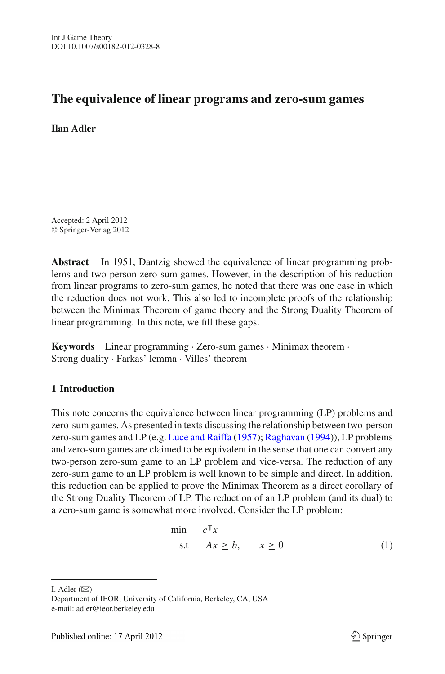# **The equivalence of linear programs and zero-sum games**

**Ilan Adler**

Accepted: 2 April 2012 © Springer-Verlag 2012

**Abstract** In 1951, Dantzig showed the equivalence of linear programming problems and two-person zero-sum games. However, in the description of his reduction from linear programs to zero-sum games, he noted that there was one case in which the reduction does not work. This also led to incomplete proofs of the relationship between the Minimax Theorem of game theory and the Strong Duality Theorem of linear programming. In this note, we fill these gaps.

**Keywords** Linear programming · Zero-sum games · Minimax theorem · Strong duality · Farkas' lemma · Villes' theorem

# **1 Introduction**

This note concerns the equivalence between linear programming (LP) problems and zero-sum games. As presented in texts discussing the relationship between two-person zero-sum games and LP (e.g. [Luce and Raiffa](#page-12-0) [\(1957\)](#page-12-0); [Raghavan](#page-12-1) [\(1994](#page-12-1))), LP problems and zero-sum games are claimed to be equivalent in the sense that one can convert any two-person zero-sum game to an LP problem and vice-versa. The reduction of any zero-sum game to an LP problem is well known to be simple and direct. In addition, this reduction can be applied to prove the Minimax Theorem as a direct corollary of the Strong Duality Theorem of LP. The reduction of an LP problem (and its dual) to a zero-sum game is somewhat more involved. Consider the LP problem:

$$
\begin{array}{ll}\n\min & c^{\mathsf{T}}x \\
\text{s.t} & Ax \geq b, \quad x \geq 0\n\end{array} \tag{1}
$$

<span id="page-0-0"></span>I. Adler  $(\boxtimes)$ 

Department of IEOR, University of California, Berkeley, CA, USA e-mail: adler@ieor.berkeley.edu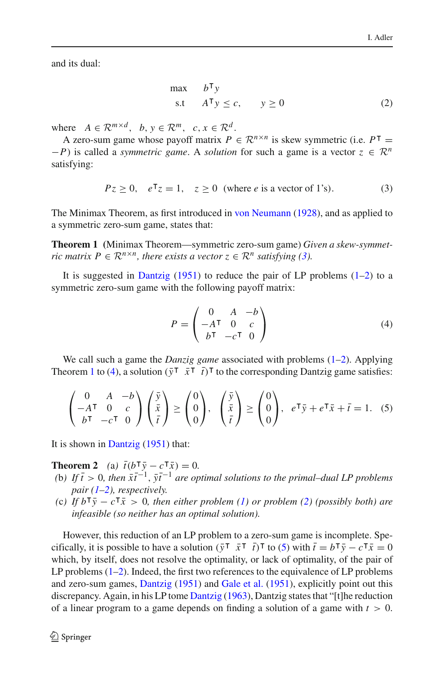<span id="page-1-1"></span>and its dual:

$$
\begin{array}{ll}\n\max & b^{\mathsf{T}} y \\
\text{s.t} & A^{\mathsf{T}} y \le c, \quad y \ge 0\n\end{array} \tag{2}
$$

where  $A \in \mathbb{R}^{m \times d}$ ,  $b, y \in \mathbb{R}^m$ ,  $c, x \in \mathbb{R}^d$ .

A zero-sum game whose payoff matrix  $P \in \mathbb{R}^{n \times n}$  is skew symmetric (i.e.  $P^{\top} =$  $-P$ ) is called a *symmetric game*. A *solution* for such a game is a vector  $z \in \mathbb{R}^n$ satisfying:

<span id="page-1-2"></span>
$$
Pz \ge 0, \quad e^{\mathsf{T}}z = 1, \quad z \ge 0 \quad \text{(where } e \text{ is a vector of 1's)}.
$$

<span id="page-1-0"></span>The Minimax Theorem, as first introduced in [von Neumann](#page-12-2) [\(1928](#page-12-2)), and as applied to a symmetric zero-sum game, states that:

**Theorem 1 (**Minimax Theorem—symmetric zero-sum game) *Given a skew-symmetric matrix P*  $\in \mathbb{R}^{n \times n}$ *, there exists a vector*  $z \in \mathbb{R}^n$  *satisfying [\(3\)](#page-1-0).* 

It is suggested in [Dantzig](#page-12-3)  $(1951)$  $(1951)$  to reduce the pair of LP problems  $(1-2)$  $(1-2)$  to a symmetric zero-sum game with the following payoff matrix:

$$
P = \begin{pmatrix} 0 & A & -b \\ -A^{\mathsf{T}} & 0 & c \\ b^{\mathsf{T}} & -c^{\mathsf{T}} & 0 \end{pmatrix}
$$
 (4)

<span id="page-1-3"></span>We call such a game the *Danzig game* associated with problems  $(1-2)$  $(1-2)$ . Applying Theorem [1](#page-1-2) to [\(4\)](#page-1-3), a solution  $(\bar{y}^\dagger \ \bar{x}^\dagger \ \bar{t})^\dagger$  to the corresponding Dantzig game satisfies:

$$
\begin{pmatrix} 0 & A & -b \\ -A^{\mathsf{T}} & 0 & c \\ b^{\mathsf{T}} & -c^{\mathsf{T}} & 0 \end{pmatrix} \begin{pmatrix} \bar{y} \\ \bar{x} \\ \bar{t} \end{pmatrix} \ge \begin{pmatrix} 0 \\ 0 \\ 0 \end{pmatrix}, \quad \begin{pmatrix} \bar{y} \\ \bar{x} \\ \bar{t} \end{pmatrix} \ge \begin{pmatrix} 0 \\ 0 \\ 0 \end{pmatrix}, \quad e^{\mathsf{T}}\bar{y} + e^{\mathsf{T}}\bar{x} + \bar{t} = 1. \quad (5)
$$

<span id="page-1-5"></span><span id="page-1-4"></span>It is shown in [Dantzig](#page-12-3) [\(1951](#page-12-3)) that:

**Theorem 2** (a)  $\bar{t}(b^{\dagger}\bar{y} - c^{\dagger}\bar{x}) = 0$ .

- (b) If  $\bar{t} > 0$ , then  $\bar{x}t^{-1}$ ,  $\bar{y}t^{-1}$  *are optimal solutions to the primal–dual LP problems pair [\(1](#page-0-0)[–2\)](#page-1-1), respectively.*
- *(c)* If  $b^T\bar{y} c^T\bar{x} > 0$ , then either problem [\(1\)](#page-0-0) or problem [\(2\)](#page-1-1) (possibly both) are *infeasible (so neither has an optimal solution).*

However, this reduction of an LP problem to a zero-sum game is incomplete. Specifically, it is possible to have a solution  $(\bar{y}^\dagger \ \bar{x}^\dagger \ \bar{t})^\dagger$  to [\(5\)](#page-1-4) with  $\bar{t} = b^\dagger \bar{y} - c^\dagger \bar{x} = 0$ which, by itself, does not resolve the optimality, or lack of optimality, of the pair of LP problems [\(1–](#page-0-0)[2\)](#page-1-1). Indeed, the first two references to the equivalence of LP problems and zero-sum games, [Dantzig](#page-12-3) [\(1951\)](#page-12-3) and [Gale et al.](#page-12-4) [\(1951](#page-12-4)), explicitly point out this discrepancy. Again, in his LP tome [Dantzig](#page-12-5) [\(1963](#page-12-5)), Dantzig states that "[t]he reduction of a linear program to a game depends on finding a solution of a game with  $t > 0$ .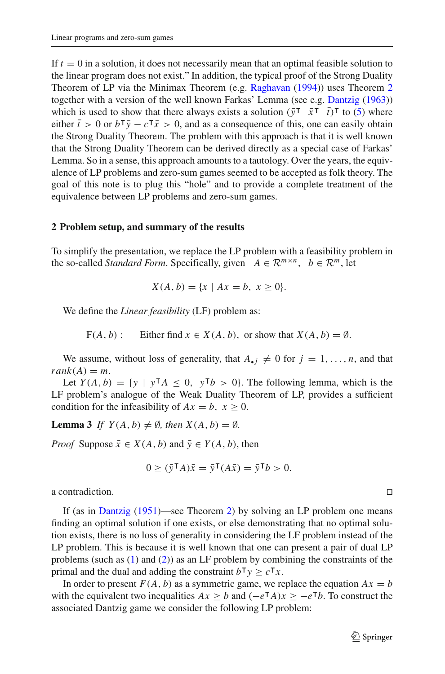If  $t = 0$  in a solution, it does not necessarily mean that an optimal feasible solution to the linear program does not exist." In addition, the typical proof of the Strong Duality Theorem of LP via the Minimax Theorem (e.g. [Raghavan](#page-12-1) [\(1994](#page-12-1))) uses Theorem [2](#page-1-5) together with a version of the well known Farkas' Lemma (see e.g. [Dantzig](#page-12-5) [\(1963](#page-12-5))) which is used to show that there always exists a solution  $(\bar{y}^\top \ \bar{x}^\top \ \bar{t})^\top$  to [\(5\)](#page-1-4) where either  $\bar{t} > 0$  or  $b^{\dagger} \bar{y} - c^{\dagger} \bar{x} > 0$ , and as a consequence of this, one can easily obtain the Strong Duality Theorem. The problem with this approach is that it is well known that the Strong Duality Theorem can be derived directly as a special case of Farkas' Lemma. So in a sense, this approach amounts to a tautology. Over the years, the equivalence of LP problems and zero-sum games seemed to be accepted as folk theory. The goal of this note is to plug this "hole" and to provide a complete treatment of the equivalence between LP problems and zero-sum games.

#### **2 Problem setup, and summary of the results**

To simplify the presentation, we replace the LP problem with a feasibility problem in the so-called *Standard Form*. Specifically, given  $A \in \mathbb{R}^{m \times n}$ ,  $b \in \mathbb{R}^m$ , let

$$
X(A, b) = \{x \mid Ax = b, x \ge 0\}.
$$

We define the *Linear feasibility* (LF) problem as:

 $F(A, b)$ : Either find  $x \in X(A, b)$ , or show that  $X(A, b) = \emptyset$ .

We assume, without loss of generality, that  $A_{\bullet j} \neq 0$  for  $j = 1, \ldots, n$ , and that  $rank(A) = m$ .

Let  $Y(A, b) = \{y \mid y^{\mathsf{T}}A \leq 0, y^{\mathsf{T}}b > 0\}$ . The following lemma, which is the LF problem's analogue of the Weak Duality Theorem of LP, provides a sufficient condition for the infeasibility of  $Ax = b$ ,  $x \ge 0$ .

**Lemma 3** *If*  $Y(A, b) \neq \emptyset$ *, then*  $X(A, b) = \emptyset$ *.* 

*Proof* Suppose  $\bar{x} \in X(A, b)$  and  $\bar{y} \in Y(A, b)$ , then

<span id="page-2-0"></span>
$$
0 \geq (\bar{y}^\mathsf{T} A)\bar{x} = \bar{y}^\mathsf{T} (A\bar{x}) = \bar{y}^\mathsf{T} b > 0.
$$

a contradiction.

If (as in [Dantzig](#page-12-3) [\(1951\)](#page-12-3)—see Theorem [2\)](#page-1-5) by solving an LP problem one means finding an optimal solution if one exists, or else demonstrating that no optimal solution exists, there is no loss of generality in considering the LF problem instead of the LP problem. This is because it is well known that one can present a pair of dual LP problems (such as [\(1\)](#page-0-0) and [\(2\)](#page-1-1)) as an LF problem by combining the constraints of the primal and the dual and adding the constraint  $b^{\mathsf{T}} y \geq c^{\mathsf{T}} x$ .

In order to present  $F(A, b)$  as a symmetric game, we replace the equation  $Ax = b$ with the equivalent two inequalities  $Ax \geq b$  and  $(-e^{\mathsf{T}}A)x \geq -e^{\mathsf{T}}b$ . To construct the associated Dantzig game we consider the following LP problem: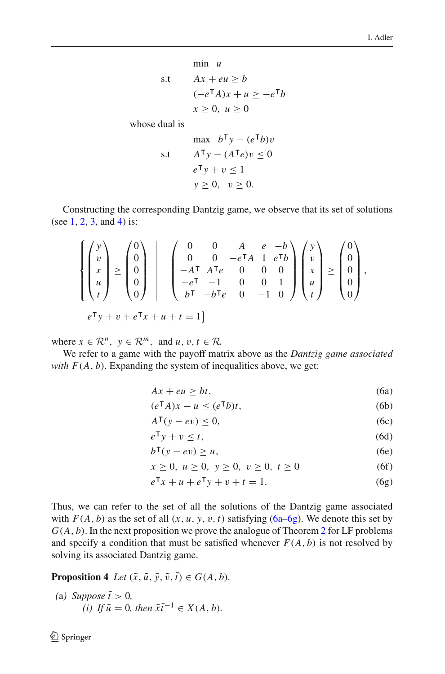$$
\begin{aligned}\n\min u\\ \text{s.t} \quad & Ax + eu \ge b\\ \n& (-e^{\mathsf{T}}A)x + u \ge -e^{\mathsf{T}}b\\ \n& x \ge 0, \ u \ge 0\n\end{aligned}
$$

whose dual is

$$
\max \quad b^{\mathsf{T}}y - (e^{\mathsf{T}}b)v
$$
  
s.t 
$$
A^{\mathsf{T}}y - (A^{\mathsf{T}}e)v \le 0
$$

$$
e^{\mathsf{T}}y + v \le 1
$$

$$
y \ge 0, \quad v \ge 0.
$$

Constructing the corresponding Dantzig game, we observe that its set of solutions (see [1,](#page-0-0) [2,](#page-1-1) [3,](#page-1-0) and [4\)](#page-1-3) is:

$$
\begin{Bmatrix} \begin{pmatrix} y \\ v \\ x \\ u \\ t \end{pmatrix} \end{Bmatrix} \ge \begin{pmatrix} 0 \\ 0 \\ 0 \\ 0 \\ 0 \end{pmatrix} \end{Bmatrix} \begin{Bmatrix} 0 & 0 & A & e & -b \\ 0 & 0 & -e^{\mathsf{T}}A & 1 & e^{\mathsf{T}}b \\ -A^{\mathsf{T}} & A^{\mathsf{T}}e & 0 & 0 & 0 \\ -e^{\mathsf{T}} & -1 & 0 & 0 & 1 \\ b^{\mathsf{T}} & -b^{\mathsf{T}}e & 0 & -1 & 0 \end{Bmatrix} \begin{pmatrix} y \\ v \\ x \\ u \\ t \end{pmatrix} \ge \begin{pmatrix} 0 \\ 0 \\ 0 \\ 0 \end{pmatrix},
$$

$$
e^{\mathsf{T}}y + v + e^{\mathsf{T}}x + u + t = 1 \}
$$

where  $x \in \mathbb{R}^n$ ,  $y \in \mathbb{R}^m$ , and  $u, v, t \in \mathbb{R}$ .

<span id="page-3-0"></span>We refer to a game with the payoff matrix above as the *Dantzig game associated with*  $F(A, b)$ . Expanding the system of inequalities above, we get:

$$
Ax + eu \ge bt,\tag{6a}
$$

$$
(e^{\mathsf{T}}A)x - u \leq (e^{\mathsf{T}}b)t,\tag{6b}
$$

$$
A^{\mathsf{T}}(y - ev) \le 0,\tag{6c}
$$

$$
e^{\mathsf{T}}y + v \le t,\tag{6d}
$$

$$
b^{\mathsf{T}}(y - ev) \ge u,\tag{6e}
$$

$$
x \ge 0, \ u \ge 0, \ y \ge 0, \ v \ge 0, \ t \ge 0 \tag{6f}
$$

$$
e^{\mathsf{T}}x + u + e^{\mathsf{T}}y + v + t = 1.
$$
 (6g)

Thus, we can refer to the set of all the solutions of the Dantzig game associated with  $F(A, b)$  as the set of all  $(x, u, y, v, t)$  satisfying  $(6a-6g)$ . We denote this set by  $G(A, b)$ . In the next proposition we prove the analogue of Theorem [2](#page-1-5) for LF problems and specify a condition that must be satisfied whenever  $F(A, b)$  is not resolved by solving its associated Dantzig game.

<span id="page-3-1"></span>**Proposition 4** *Let*  $(\tilde{x}, \tilde{u}, \tilde{y}, \tilde{v}, \tilde{t}) \in G(A, b)$ *.* 

(a) Suppose 
$$
\tilde{t} > 0
$$
,  
(i) If  $\tilde{u} = 0$ , then  $\tilde{x}\tilde{t}^{-1} \in X(A, b)$ .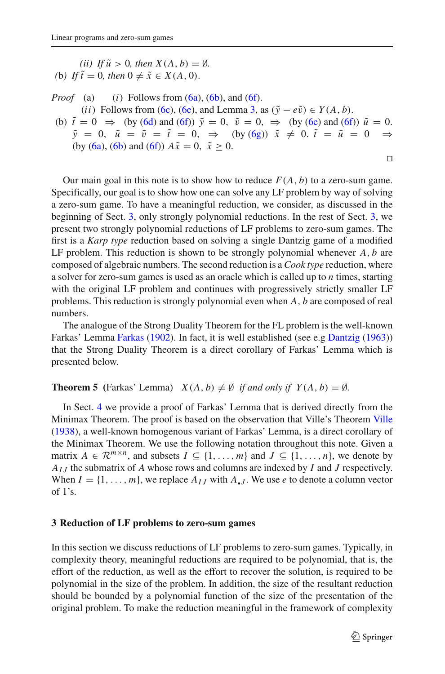*(ii) If*  $\tilde{u} > 0$ *, then*  $X(A, b) = \emptyset$ *. (b) If*  $\tilde{t} = 0$ *, then*  $0 \neq \tilde{x} \in X(A, 0)$ *.* 

*Proof* (a) (*i*) Follows from  $(6a)$ ,  $(6b)$ , and  $(6f)$ . (*ii*) Follows from [\(6c\)](#page-3-0), [\(6e\)](#page-3-0), and Lemma [3,](#page-2-0) as  $(\tilde{y} - e\tilde{v}) \in Y(A, b)$ . (b)  $\tilde{t} = 0 \Rightarrow$  (by [\(6d\)](#page-3-0) and [\(6f\)](#page-3-0))  $\tilde{y} = 0$ ,  $\tilde{v} = 0$ ,  $\Rightarrow$  (by [\(6e\)](#page-3-0) and (6f))  $\tilde{u} = 0$ .  $\tilde{y} = 0, \ \tilde{u} = \tilde{v} = \tilde{t} = 0, \ \Rightarrow \ \text{(by (6g))} \ \tilde{x} \neq 0. \ \tilde{t} = \tilde{u} = 0 \ \Rightarrow$  $\tilde{y} = 0, \ \tilde{u} = \tilde{v} = \tilde{t} = 0, \ \Rightarrow \ \text{(by (6g))} \ \tilde{x} \neq 0. \ \tilde{t} = \tilde{u} = 0 \ \Rightarrow$  $\tilde{y} = 0, \ \tilde{u} = \tilde{v} = \tilde{t} = 0, \ \Rightarrow \ \text{(by (6g))} \ \tilde{x} \neq 0. \ \tilde{t} = \tilde{u} = 0 \ \Rightarrow$ (by [\(6a\)](#page-3-0), [\(6b\)](#page-3-0) and [\(6f\)](#page-3-0))  $A\tilde{x} = 0$ ,  $\tilde{x} \ge 0$ .  $\Box$ 

Our main goal in this note is to show how to reduce  $F(A, b)$  to a zero-sum game. Specifically, our goal is to show how one can solve any LF problem by way of solving a zero-sum game. To have a meaningful reduction, we consider, as discussed in the beginning of Sect. [3,](#page-4-0) only strongly polynomial reductions. In the rest of Sect. [3,](#page-4-0) we present two strongly polynomial reductions of LF problems to zero-sum games. The first is a *Karp type* reduction based on solving a single Dantzig game of a modified LF problem. This reduction is shown to be strongly polynomial whenever *A*, *b* are composed of algebraic numbers. The second reduction is a *Cook type* reduction, where a solver for zero-sum games is used as an oracle which is called up to *n* times, starting with the original LF problem and continues with progressively strictly smaller LF problems. This reduction is strongly polynomial even when *A*, *b* are composed of real numbers.

The analogue of the Strong Duality Theorem for the FL problem is the well-known Farkas' Lemma [Farkas](#page-12-6) [\(1902](#page-12-6)). In fact, it is well established (see e.g [Dantzig](#page-12-5) [\(1963](#page-12-5))) that the Strong Duality Theorem is a direct corollary of Farkas' Lemma which is presented below.

<span id="page-4-1"></span>**Theorem 5** (Farkas' Lemma) *X*(*A*, *b*)  $\neq$  Ø *if and only if Y*(*A*, *b*) = Ø.

In Sect. [4](#page-9-0) we provide a proof of Farkas' Lemma that is derived directly from the Minimax Theorem. The proof is based on the observation that Ville's Theorem [Ville](#page-12-7) [\(1938\)](#page-12-7), a well-known homogenous variant of Farkas' Lemma, is a direct corollary of the Minimax Theorem. We use the following notation throughout this note. Given a matrix  $A \in \mathbb{R}^{m \times n}$ , and subsets  $I \subseteq \{1, ..., m\}$  and  $J \subseteq \{1, ..., n\}$ , we denote by *AI J* the submatrix of *A* whose rows and columns are indexed by *I* and *J* respectively. When  $I = \{1, \ldots, m\}$ , we replace  $A_{IJ}$  with  $A_{\bullet}$ . We use *e* to denote a column vector of  $1$ 's.

#### <span id="page-4-0"></span>**3 Reduction of LF problems to zero-sum games**

In this section we discuss reductions of LF problems to zero-sum games. Typically, in complexity theory, meaningful reductions are required to be polynomial, that is, the effort of the reduction, as well as the effort to recover the solution, is required to be polynomial in the size of the problem. In addition, the size of the resultant reduction should be bounded by a polynomial function of the size of the presentation of the original problem. To make the reduction meaningful in the framework of complexity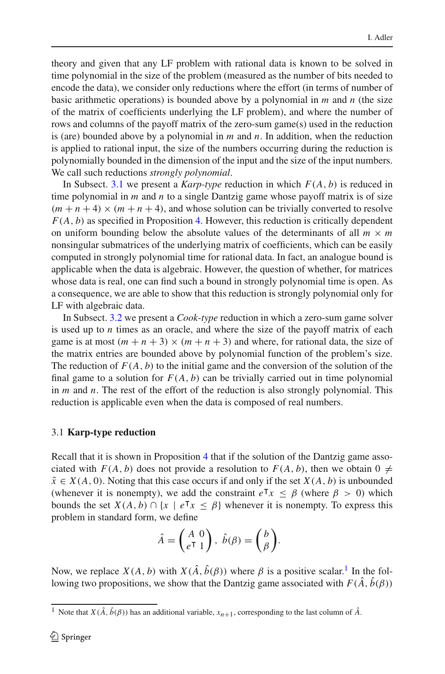theory and given that any LF problem with rational data is known to be solved in time polynomial in the size of the problem (measured as the number of bits needed to encode the data), we consider only reductions where the effort (in terms of number of basic arithmetic operations) is bounded above by a polynomial in *m* and *n* (the size of the matrix of coefficients underlying the LF problem), and where the number of rows and columns of the payoff matrix of the zero-sum game(s) used in the reduction is (are) bounded above by a polynomial in *m* and *n*. In addition, when the reduction is applied to rational input, the size of the numbers occurring during the reduction is polynomially bounded in the dimension of the input and the size of the input numbers. We call such reductions *strongly polynomial*.

In Subsect. [3.1](#page-5-0) we present a *Karp-type* reduction in which *F*(*A*, *b*) is reduced in time polynomial in *m* and *n* to a single Dantzig game whose payoff matrix is of size  $(m+n+4) \times (m+n+4)$ , and whose solution can be trivially converted to resolve *F*(*A*, *b*) as specified in Proposition [4.](#page-3-1) However, this reduction is critically dependent on uniform bounding below the absolute values of the determinants of all  $m \times m$ nonsingular submatrices of the underlying matrix of coefficients, which can be easily computed in strongly polynomial time for rational data. In fact, an analogue bound is applicable when the data is algebraic. However, the question of whether, for matrices whose data is real, one can find such a bound in strongly polynomial time is open. As a consequence, we are able to show that this reduction is strongly polynomial only for LF with algebraic data.

In Subsect. [3.2](#page-7-0) we present a *Cook-type* reduction in which a zero-sum game solver is used up to *n* times as an oracle, and where the size of the payoff matrix of each game is at most  $(m + n + 3) \times (m + n + 3)$  and where, for rational data, the size of the matrix entries are bounded above by polynomial function of the problem's size. The reduction of  $F(A, b)$  to the initial game and the conversion of the solution of the final game to a solution for  $F(A, b)$  can be trivially carried out in time polynomial in *m* and *n*. The rest of the effort of the reduction is also strongly polynomial. This reduction is applicable even when the data is composed of real numbers.

#### <span id="page-5-0"></span>3.1 **Karp-type reduction**

Recall that it is shown in Proposition [4](#page-3-1) that if the solution of the Dantzig game associated with  $F(A, b)$  does not provide a resolution to  $F(A, b)$ , then we obtain 0  $\neq$  $\tilde{x} \in X(A, 0)$ . Noting that this case occurs if and only if the set  $X(A, b)$  is unbounded (whenever it is nonempty), we add the constraint  $e^Tx \le \beta$  (where  $\beta > 0$ ) which bounds the set  $X(A, b) \cap \{x \mid e^{\mathsf{T}}x \leq \beta\}$  whenever it is nonempty. To express this problem in standard form, we define

$$
\hat{A} = \begin{pmatrix} A & 0 \\ e^{\mathsf{T}} & 1 \end{pmatrix}, \ \hat{b}(\beta) = \begin{pmatrix} b \\ \beta \end{pmatrix}.
$$

Now, we replace  $X(A, b)$  with  $X(\hat{A}, \hat{b}(\beta))$  where  $\beta$  is a positive scalar.<sup>1</sup> In the following two propositions, we show that the Dantzig game associated with  $F(\hat{A}, \hat{b}(\beta))$ 

<span id="page-5-1"></span><sup>&</sup>lt;sup>1</sup> Note that *X*( $\hat{A}$ ,  $\hat{b}(\beta)$ ) has an additional variable,  $x_{n+1}$ , corresponding to the last column of  $\hat{A}$ .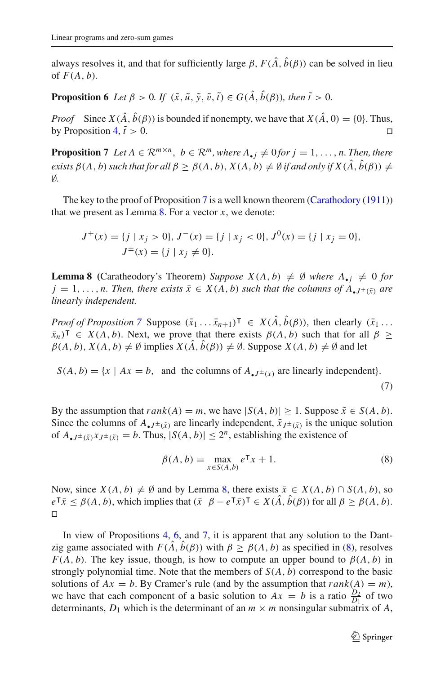<span id="page-6-2"></span>always resolves it, and that for sufficiently large  $\beta$ ,  $F(\hat{A}, \hat{b}(\beta))$  can be solved in lieu of  $F(A, b)$ .

**Proposition 6** *Let*  $\beta > 0$ *. If*  $(\tilde{x}, \tilde{u}, \tilde{y}, \tilde{v}, \tilde{t}) \in G(\hat{A}, \hat{b}(\beta))$ *, then*  $\tilde{t} > 0$ *.* 

*Proof* Since  $X(\hat{A}, \hat{b}(\beta))$  is bounded if nonempty, we have that  $X(\hat{A}, 0) = \{0\}$ . Thus, by Proposition [4,](#page-3-1)  $\tilde{t} > 0$ .  $\tilde{t} > 0.$ 

<span id="page-6-0"></span>**Proposition 7** *Let*  $A \in \mathbb{R}^{m \times n}$ ,  $b \in \mathbb{R}^m$ , where  $A_{\bullet i} \neq 0$  for  $j = 1, \ldots, n$ . Then, there *exists*  $\beta(A, b)$  *such that for all*  $\beta \geq \beta(A, b)$ ,  $X(A, b) \neq \emptyset$  *if and only if*  $X(\hat{A}, \hat{b}(\beta)) \neq \emptyset$ ∅*.*

The key to the proof of Proposition [7](#page-6-0) is a well known theorem [\(Carathodory](#page-12-8) [\(1911](#page-12-8))) that we present as Lemma  $8$ . For a vector  $x$ , we denote:

$$
J^+(x) = \{j \mid x_j > 0\}, J^-(x) = \{j \mid x_j < 0\}, J^0(x) = \{j \mid x_j = 0\},
$$
  

$$
J^{\pm}(x) = \{j \mid x_j \neq 0\}.
$$

<span id="page-6-1"></span>**Lemma 8** (Caratheodory's Theorem) *Suppose*  $X(A, b) \neq \emptyset$  *where*  $A_{\bullet i} \neq 0$  *for*  $j = 1, \ldots, n$ . Then, there exists  $\bar{x} \in X(A, b)$  such that the columns of  $A_{\bullet}I^+(\bar{x})$  are *linearly independent.*

*Proof of Proposition* [7](#page-6-0) Suppose  $(\bar{x}_1 \dots \bar{x}_{n+1})^{\mathsf{T}} \in X(\hat{A}, \hat{b}(\beta))$ , then clearly  $(\bar{x}_1 \dots \bar{x}_{n+1})^{\mathsf{T}}$  $(\bar{x}_n)^\top \in X(A, b)$ . Next, we prove that there exists  $\beta(A, b)$  such that for all  $\beta \geq$  $\beta(A, b), X(A, b) \neq \emptyset$  implies  $X(\hat{A}, \hat{b}(\beta)) \neq \emptyset$ . Suppose  $X(A, b) \neq \emptyset$  and let

 $S(A, b) = \{x \mid Ax = b, \text{ and the columns of } A_{\bullet} \}$  are linearly independent.

$$
(7)
$$

By the assumption that  $rank(A) = m$ , we have  $|S(A, b)| \ge 1$ . Suppose  $\tilde{x} \in S(A, b)$ . Since the columns of  $A_{\bullet}$ *J*±( $\tilde{x}$ ) are linearly independent,  $\tilde{x}_{J}$ ±( $\tilde{x}$ ) is the unique solution of  $A_{\bullet}J^{\pm}(\tilde{x})X_{J^{\pm}(\tilde{x})}=b$ . Thus,  $|S(A, b)| \leq 2^n$ , establishing the existence of

$$
\beta(A, b) = \max_{x \in S(A, b)} e^{\mathsf{T}} x + 1.
$$
\n(8)

<span id="page-6-3"></span>Now, since  $X(A, b) \neq \emptyset$  and by Lemma [8,](#page-6-1) there exists  $\bar{x} \in X(A, b) \cap S(A, b)$ , so  $e^{\mathsf{T}}\bar{x} \leq \beta(A, b)$ , which implies that  $(\bar{x} \ \beta - e^{\mathsf{T}}\bar{x})^{\mathsf{T}} \in X(\hat{A}, \hat{b}(\beta))$  for all  $\beta \geq \beta(A, b)$ .  $\Box$ 

In view of Propositions [4,](#page-3-1) [6,](#page-6-2) and [7,](#page-6-0) it is apparent that any solution to the Dantzig game associated with  $F(\hat{A}, \hat{b}(\beta))$  with  $\beta \geq \beta(A, b)$  as specified in [\(8\)](#page-6-3), resolves *F*(*A*, *b*). The key issue, though, is how to compute an upper bound to  $\beta(A, b)$  in strongly polynomial time. Note that the members of *S*(*A*, *b*) correspond to the basic solutions of  $Ax = b$ . By Cramer's rule (and by the assumption that  $rank(A) = m$ ), we have that each component of a basic solution to  $Ax = b$  is a ratio  $\frac{D_2}{D_1}$  of two determinants,  $D_1$  which is the determinant of an  $m \times m$  nonsingular submatrix of A,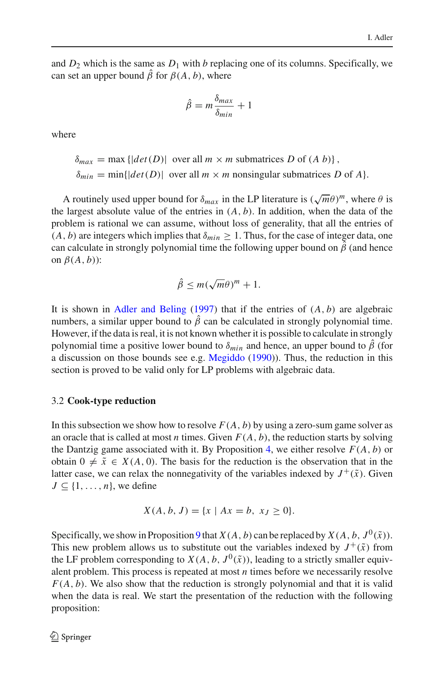and  $D_2$  which is the same as  $D_1$  with *b* replacing one of its columns. Specifically, we can set an upper bound  $\hat{\beta}$  for  $\beta(A, b)$ , where

$$
\hat{\beta} = m \frac{\delta_{max}}{\delta_{min}} + 1
$$

where

 $\delta_{max} = \max \{ |det(D)| \text{ over all } m \times m \text{ submatrices } D \text{ of } (A \ b) \},$  $\delta_{min} = \min\{|det(D)|\}$  over all  $m \times m$  nonsingular submatrices *D* of *A*.

A routinely used upper bound for  $\delta_{max}$  in the LP literature is  $(\sqrt{m}\theta)^m$ , where  $\theta$  is the largest absolute value of the entries in  $(A, b)$ . In addition, when the data of the problem is rational we can assume, without loss of generality, that all the entries of  $(A, b)$  are integers which implies that  $\delta_{min} \geq 1$ . Thus, for the case of integer data, one can calculate in strongly polynomial time the following upper bound on  $\hat{\beta}$  (and hence on  $\beta(A,b)$ :

$$
\hat{\beta} \le m(\sqrt{m}\theta)^m + 1.
$$

It is shown in [Adler and Beling](#page-12-9)  $(1997)$  $(1997)$  that if the entries of  $(A, b)$  are algebraic numbers, a similar upper bound to  $\hat{\beta}$  can be calculated in strongly polynomial time. However, if the data is real, it is not known whether it is possible to calculate in strongly polynomial time a positive lower bound to  $\delta_{min}$  and hence, an upper bound to  $\hat{\beta}$  (for a discussion on those bounds see e.g. [Megiddo](#page-12-10) [\(1990](#page-12-10))). Thus, the reduction in this section is proved to be valid only for LP problems with algebraic data.

## <span id="page-7-0"></span>3.2 **Cook-type reduction**

In this subsection we show how to resolve  $F(A, b)$  by using a zero-sum game solver as an oracle that is called at most *n* times. Given  $F(A, b)$ , the reduction starts by solving the Dantzig game associated with it. By Proposition [4,](#page-3-1) we either resolve  $F(A, b)$  or obtain  $0 \neq \tilde{x} \in X(A, 0)$ . The basis for the reduction is the observation that in the latter case, we can relax the nonnegativity of the variables indexed by  $J^+(\tilde{x})$ . Given  $J \subseteq \{1, \ldots, n\}$ , we define

$$
X(A, b, J) = \{x \mid Ax = b, x_J \ge 0\}.
$$

<span id="page-7-1"></span>Specifically, we show in Proposition [9](#page-7-1) that *X*(*A*, *b*) can be replaced by *X*(*A*, *b*,  $J^0(\tilde{x})$ ). This new problem allows us to substitute out the variables indexed by  $J^+(\tilde{x})$  from the LF problem corresponding to  $X(A, b, J^0(\tilde{x}))$ , leading to a strictly smaller equivalent problem. This process is repeated at most *n* times before we necessarily resolve  $F(A, b)$ . We also show that the reduction is strongly polynomial and that it is valid when the data is real. We start the presentation of the reduction with the following proposition: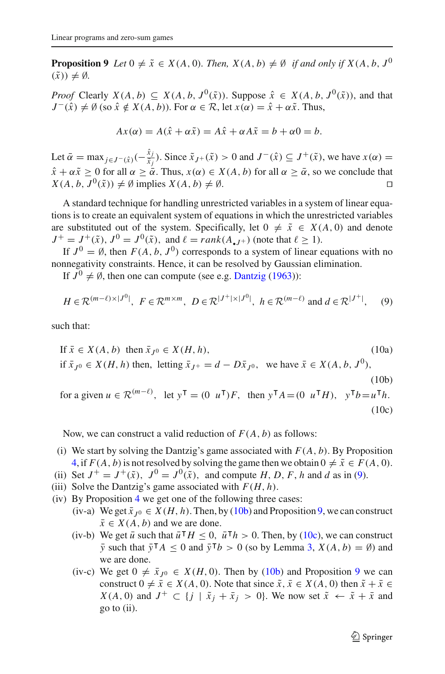**Proposition 9** *Let*  $0 \neq \tilde{x} \in X(A, 0)$ *. Then,*  $X(A, b) \neq \emptyset$  *if and only if*  $X(A, b, J^0)$  $(\tilde{x}) \neq \emptyset$ .

*Proof* Clearly  $X(A, b) \subseteq X(A, b, J^0(\tilde{x}))$ . Suppose  $\hat{x} \in X(A, b, J^0(\tilde{x}))$ , and that  $J^{-}(\hat{x}) \neq \emptyset$  (so  $\hat{x} \notin X(A, b)$ ). For  $\alpha \in \mathcal{R}$ , let  $x(\alpha) = \hat{x} + \alpha \tilde{x}$ . Thus,

$$
Ax(\alpha) = A(\hat{x} + \alpha \tilde{x}) = A\hat{x} + \alpha A\tilde{x} = b + \alpha 0 = b.
$$

Let  $\bar{\alpha} = \max_{j \in J^-(\hat{x})}(-\frac{\hat{x}_j}{\tilde{x}_j})$ . Since  $\tilde{x}_{J^+}(\tilde{x}) > 0$  and  $J^-(\hat{x}) \subseteq J^+(\tilde{x})$ , we have  $x(\alpha) =$  $\hat{x} + \alpha \tilde{x} \ge 0$  for all  $\alpha \ge \alpha \tilde{\alpha}$ . Thus,  $x(\alpha) \in X(A, b)$  for all  $\alpha \ge \alpha$ , so we conclude that  $X(A, b, J^0(\tilde{x})) \neq \emptyset$  implies  $X(A, b) \neq \emptyset$ .

A standard technique for handling unrestricted variables in a system of linear equations is to create an equivalent system of equations in which the unrestricted variables are substituted out of the system. Specifically, let  $0 \neq \tilde{x} \in X(A, 0)$  and denote  $J^+ = J^+(\tilde{x})$ ,  $J^0 = J^0(\tilde{x})$ , and  $\ell = rank(A, I^+)$  (note that  $\ell \ge 1$ ).

If  $J^0 = \emptyset$ , then  $F(A, b, J^0)$  corresponds to a system of linear equations with no nonnegativity constraints. Hence, it can be resolved by Gaussian elimination.

If  $J^0 \neq \emptyset$ , then one can compute (see e.g. [Dantzig](#page-12-5) [\(1963\)](#page-12-5)):

$$
H \in \mathcal{R}^{(m-\ell)\times|J^0|}, \ F \in \mathcal{R}^{m\times m}, \ D \in \mathcal{R}^{|J^+|\times|J^0|}, \ h \in \mathcal{R}^{(m-\ell)} \text{ and } d \in \mathcal{R}^{|J^+|}, \tag{9}
$$

<span id="page-8-1"></span><span id="page-8-0"></span>such that:

If 
$$
\bar{x} \in X(A, b)
$$
 then  $\bar{x}_{J^0} \in X(H, h)$ , (10a)  
if  $\bar{x}_{J^0} \in X(H, h)$  then, letting  $\bar{x}_{J^+} = d - D\bar{x}_{J^0}$ , we have  $\bar{x} \in X(A, b, J^0)$ , (10b)  
for a given  $u \in \mathbb{R}^{(m-\ell)}$ , let  $y^{\mathsf{T}} = (0 \ u^{\mathsf{T}})F$ , then  $y^{\mathsf{T}}A = (0 \ u^{\mathsf{T}}H)$ ,  $y^{\mathsf{T}}b = u^{\mathsf{T}}h$ .

$$
(10c)
$$

Now, we can construct a valid reduction of  $F(A, b)$  as follows:

- (i) We start by solving the Dantzig's game associated with  $F(A, b)$ . By Proposition [4,](#page-3-1) if  $F(A, b)$  is not resolved by solving the game then we obtain  $0 \neq \tilde{x} \in F(A, 0)$ .
- (ii) Set  $J^+ = J^+(\tilde{x})$ ,  $J^0 = J^0(\tilde{x})$ , and compute *H*, *D*, *F*, *h* and *d* as in [\(9\)](#page-8-0).
- (iii) Solve the Dantzig's game associated with  $F(H, h)$ .
- (iv) By Proposition [4](#page-3-1) we get one of the following three cases:
	- (iv-a) We get  $\bar{x}_{J^0} \in X(H, h)$ . Then, by [\(10b\)](#page-8-1) and Proposition [9,](#page-7-1) we can construct  $\bar{x} \in X(A, b)$  and we are done.
	- (iv-b) We get  $\bar{u}$  such that  $\bar{u}^\top H \leq 0$ ,  $\bar{u}^\top h > 0$ . Then, by [\(10c\)](#page-8-1), we can construct  $\bar{y}$  such that  $\bar{y}^\mathsf{T} A \leq 0$  and  $\bar{y}^\mathsf{T} b > 0$  (so by Lemma [3,](#page-2-0)  $X(A, b) = \emptyset$ ) and we are done.
	- (iv-c) We get  $0 \neq \bar{x}_{J^0} \in X(H, 0)$ . Then by [\(10b\)](#page-8-1) and Proposition [9](#page-7-1) we can construct  $0 \neq \overline{x} \in X(A, 0)$ . Note that since  $\tilde{x}, \overline{x} \in X(A, 0)$  then  $\tilde{x} + \overline{x} \in X(A, 0)$ *X*(*A*, 0) and *J*<sup>+</sup> ⊂ {*j* |  $\tilde{x}_i + \bar{x}_j > 0$ }. We now set  $\tilde{x} \leftarrow \tilde{x} + \bar{x}$  and go to (ii).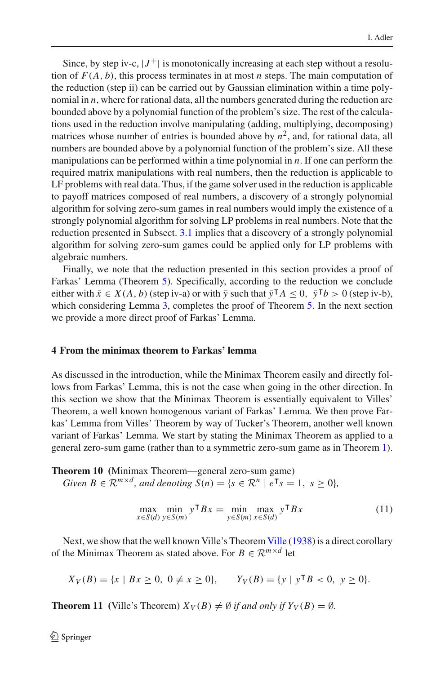Since, by step iv-c,  $|J^+|$  is monotonically increasing at each step without a resolution of  $F(A, b)$ , this process terminates in at most *n* steps. The main computation of the reduction (step ii) can be carried out by Gaussian elimination within a time polynomial in *n*, where for rational data, all the numbers generated during the reduction are bounded above by a polynomial function of the problem's size. The rest of the calculations used in the reduction involve manipulating (adding, multiplying, decomposing) matrices whose number of entries is bounded above by  $n^2$ , and, for rational data, all numbers are bounded above by a polynomial function of the problem's size. All these manipulations can be performed within a time polynomial in *n*. If one can perform the required matrix manipulations with real numbers, then the reduction is applicable to LF problems with real data. Thus, if the game solver used in the reduction is applicable to payoff matrices composed of real numbers, a discovery of a strongly polynomial algorithm for solving zero-sum games in real numbers would imply the existence of a strongly polynomial algorithm for solving LP problems in real numbers. Note that the reduction presented in Subsect. [3.1](#page-5-0) implies that a discovery of a strongly polynomial algorithm for solving zero-sum games could be applied only for LP problems with algebraic numbers.

Finally, we note that the reduction presented in this section provides a proof of Farkas' Lemma (Theorem [5\)](#page-4-1). Specifically, according to the reduction we conclude either with  $\bar{x} \in X(A, b)$  (step iv-a) or with  $\bar{y}$  such that  $\bar{y}^\mathsf{T} A \leq 0$ ,  $\bar{y}^\mathsf{T} b > 0$  (step iv-b), which considering Lemma [3,](#page-2-0) completes the proof of Theorem [5.](#page-4-1) In the next section we provide a more direct proof of Farkas' Lemma.

#### <span id="page-9-0"></span>**4 From the minimax theorem to Farkas' lemma**

As discussed in the introduction, while the Minimax Theorem easily and directly follows from Farkas' Lemma, this is not the case when going in the other direction. In this section we show that the Minimax Theorem is essentially equivalent to Villes' Theorem, a well known homogenous variant of Farkas' Lemma. We then prove Farkas' Lemma from Villes' Theorem by way of Tucker's Theorem, another well known variant of Farkas' Lemma. We start by stating the Minimax Theorem as applied to a general zero-sum game (rather than to a symmetric zero-sum game as in Theorem [1\)](#page-1-2).

<span id="page-9-1"></span>**Theorem 10 (**Minimax Theorem—general zero-sum game) *Given B*  $\in \mathbb{R}^{m \times d}$ *, and denoting*  $S(n) = \{s \in \mathbb{R}^n \mid e^{\mathsf{T}} s = 1, s \ge 0\}$ *,* 

$$
\max_{x \in S(d)} \min_{y \in S(m)} y^{\mathsf{T}} Bx = \min_{y \in S(m)} \max_{x \in S(d)} y^{\mathsf{T}} Bx \tag{11}
$$

<span id="page-9-2"></span>Next, we show that the well known Ville's Theorem [Ville](#page-12-7) [\(1938](#page-12-7)) is a direct corollary of the Minimax Theorem as stated above. For  $B \in \mathbb{R}^{m \times d}$  let

$$
X_V(B) = \{x \mid Bx \ge 0, 0 \ne x \ge 0\}, \qquad Y_V(B) = \{y \mid y^\mathsf{T} B < 0, y \ge 0\}.
$$

<span id="page-9-3"></span>**Theorem 11** (Ville's Theorem)  $X_V(B) \neq \emptyset$  *if and only if*  $Y_V(B) = \emptyset$ *.*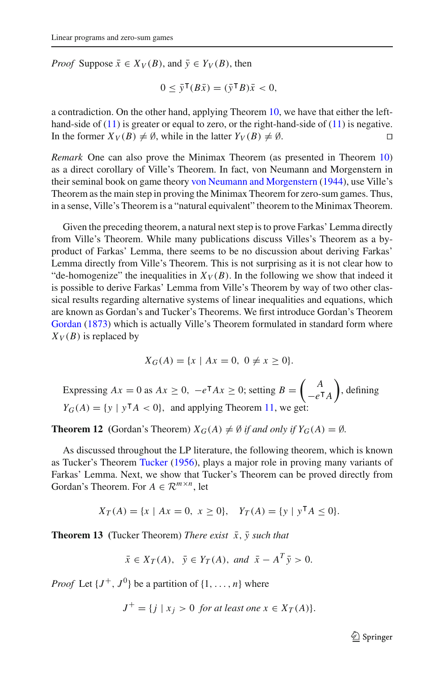*Proof* Suppose  $\bar{x} \in X_V(B)$ , and  $\bar{y} \in Y_V(B)$ , then

$$
0 \leq \bar{y}^{\mathsf{T}}(B\bar{x}) = (\bar{y}^{\mathsf{T}}B)\bar{x} < 0,
$$

a contradiction. On the other hand, applying Theorem [10,](#page-9-1) we have that either the lefthand-side of  $(11)$  is greater or equal to zero, or the right-hand-side of  $(11)$  is negative. In the former  $X_V(B) \neq \emptyset$ , while in the latter  $Y_V(B) \neq \emptyset$ .

*Remark* One can also prove the Minimax Theorem (as presented in Theorem [10\)](#page-9-1) as a direct corollary of Ville's Theorem. In fact, von Neumann and Morgenstern in their seminal book on game theory [von Neumann and Morgenstern](#page-12-11) [\(1944\)](#page-12-11), use Ville's Theorem as the main step in proving the Minimax Theorem for zero-sum games. Thus, in a sense, Ville's Theorem is a "natural equivalent" theorem to the Minimax Theorem.

Given the preceding theorem, a natural next step is to prove Farkas' Lemma directly from Ville's Theorem. While many publications discuss Villes's Theorem as a byproduct of Farkas' Lemma, there seems to be no discussion about deriving Farkas' Lemma directly from Ville's Theorem. This is not surprising as it is not clear how to "de-homogenize" the inequalities in  $X_V(B)$ . In the following we show that indeed it is possible to derive Farkas' Lemma from Ville's Theorem by way of two other classical results regarding alternative systems of linear inequalities and equations, which are known as Gordan's and Tucker's Theorems. We first introduce Gordan's Theorem [Gordan](#page-12-12) [\(1873](#page-12-12)) which is actually Ville's Theorem formulated in standard form where  $X_V(B)$  is replaced by

$$
X_G(A) = \{x \mid Ax = 0, \ 0 \neq x \ge 0\}.
$$

Expressing  $Ax = 0$  as  $Ax \ge 0$ ,  $-e^{\mathsf{T}}Ax \ge 0$ ; setting  $B = \begin{pmatrix} A & A \\ A & B \end{pmatrix}$  $-e<sup>T</sup>A$  , defining  $Y_G(A) = \{y \mid y^\mathsf{T} A < 0\}$ , and applying Theorem [11,](#page-9-3) we get:

<span id="page-10-0"></span>**Theorem 12** (Gordan's Theorem)  $X_G(A) \neq \emptyset$  *if and only if*  $Y_G(A) = \emptyset$ *.* 

As discussed throughout the LP literature, the following theorem, which is known as Tucker's Theorem [Tucker](#page-12-13) [\(1956\)](#page-12-13), plays a major role in proving many variants of Farkas' Lemma. Next, we show that Tucker's Theorem can be proved directly from Gordan's Theorem. For  $A \in \mathbb{R}^{m \times n}$ , let

 $X_T(A) = \{x \mid Ax = 0, x \ge 0\}, \quad Y_T(A) = \{y \mid y^\mathsf{T} A \le 0\}.$ 

<span id="page-10-1"></span>**Theorem 13** (Tucker Theorem) *There exist*  $\bar{x}$ ,  $\bar{y}$  such that

$$
\bar{x} \in X_T(A), \ \bar{y} \in Y_T(A), \text{ and } \bar{x} - A^T \bar{y} > 0.
$$

*Proof* Let  $\{J^+, J^0\}$  be a partition of  $\{1, \ldots, n\}$  where

 $J^+ = \{ i \mid x_i > 0 \text{ for at least one } x \in X_T(A) \}.$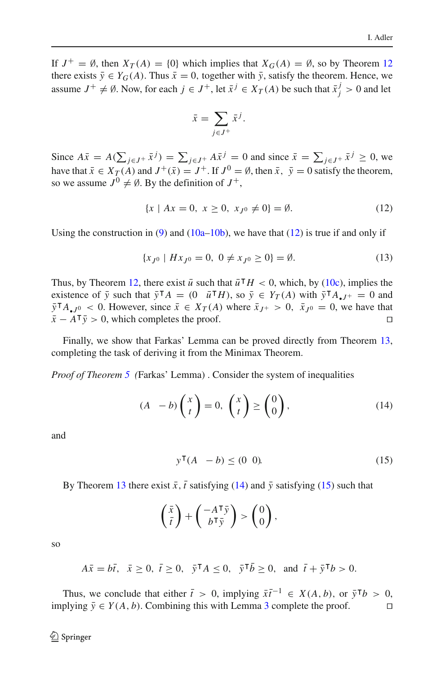If  $J^+ = \emptyset$ , then  $X_T(A) = \{0\}$  which implies that  $X_G(A) = \emptyset$ , so by Theorem [12](#page-10-0) there exists  $\bar{y} \in Y_G(A)$ . Thus  $\bar{x} = 0$ , together with  $\bar{y}$ , satisfy the theorem. Hence, we assume  $J^+ \neq \emptyset$ . Now, for each  $j \in J^+$ , let  $\bar{x}^j \in X_T(A)$  be such that  $\bar{x}^j_j > 0$  and let

$$
\bar{x} = \sum_{j \in J^+} \bar{x}^j.
$$

Since  $A\bar{x} = A(\sum_{j \in J^+} \bar{x}^j) = \sum_{j \in J^+} A\bar{x}^j = 0$  and since  $\bar{x} = \sum_{j \in J^+} \bar{x}^j \ge 0$ , we have that  $\bar{x} \in X_T(A)$  and  $J^+(\bar{x}) = J^+$ . If  $J^0 = \emptyset$ , then  $\bar{x}$ ,  $\bar{y} = 0$  satisfy the theorem, so we assume  $J^0 \neq \emptyset$ . By the definition of  $J^+$ ,

$$
\{x \mid Ax = 0, \ x \ge 0, \ x_{J^0} \ne 0\} = \emptyset. \tag{12}
$$

<span id="page-11-0"></span>Using the construction in [\(9\)](#page-8-0) and [\(10a–10b\)](#page-8-1), we have that [\(12\)](#page-11-0) is true if and only if

$$
\{x_{J^0} \mid Hx_{J^0} = 0, \ 0 \neq x_{J^0} \ge 0\} = \emptyset. \tag{13}
$$

Thus, by Theorem [12,](#page-10-0) there exist  $\bar{u}$  such that  $\bar{u}$ <sup>T</sup> $H < 0$ , which, by [\(10c\)](#page-8-1), implies the existence of  $\bar{y}$  such that  $\bar{y}^{\mathsf{T}}A = (0 \quad \bar{u}^{\mathsf{T}}H)$ , so  $\bar{y} \in Y_T(A)$  with  $\bar{y}^{\mathsf{T}}A_{\bullet}J^+ = 0$  and  $\bar{y}^{\mathsf{T}} A_{\bullet} j^0$  < 0. However, since  $\bar{x} \in X_T(A)$  where  $\bar{x}_{J^+} > 0$ ,  $\bar{x}_{J^0} = 0$ , we have that  $\bar{x} - A^{\dagger} \bar{y} > 0$ , which completes the proof.

Finally, we show that Farkas' Lemma can be proved directly from Theorem [13,](#page-10-1) completing the task of deriving it from the Minimax Theorem.

<span id="page-11-1"></span>*Proof of Theorem [5](#page-4-1) (*Farkas' Lemma) . Consider the system of inequalities

$$
(A - b) \binom{x}{t} = 0, \binom{x}{t} \ge \binom{0}{0}, \tag{14}
$$

and

$$
y^{\mathsf{T}}(A - b) \leq (0 \ 0). \tag{15}
$$

<span id="page-11-2"></span>By Theorem [13](#page-10-1) there exist  $\bar{x}$ ,  $\bar{t}$  satisfying [\(14\)](#page-11-1) and  $\bar{y}$  satisfying [\(15\)](#page-11-2) such that

$$
\left(\frac{\bar{x}}{\bar{t}}\right) + \left(\frac{-A^{\mathsf{T}}\bar{y}}{b^{\mathsf{T}}\bar{y}}\right) > \left(\begin{matrix}0\\0\end{matrix}\right),\,
$$

so

$$
A\bar{x} = b\bar{t}, \quad \bar{x} \ge 0, \quad \bar{t} \ge 0, \quad \bar{y}^\mathsf{T} A \le 0, \quad \bar{y}^\mathsf{T} \bar{b} \ge 0, \quad \text{and} \quad \bar{t} + \bar{y}^\mathsf{T} b > 0.
$$

Thus, we conclude that either  $\bar{t} > 0$ , implying  $\bar{x}\bar{t}^{-1} \in X(A, b)$ , or  $\bar{y}^{\mathsf{T}}b > 0$ , implying  $\bar{y} \in Y(A, b)$ . Combining this with Lemma [3](#page-2-0) complete the proof.